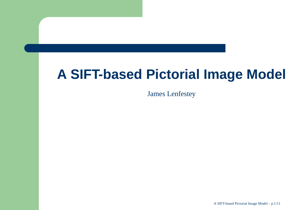## **A SIFT-based Pictorial Image Model**

James Lenfestey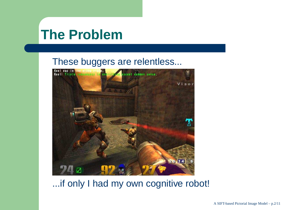### **The Problem**

#### These buggers are relentless...



#### ...if only I had my own cognitive robot!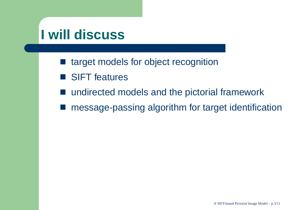### **I will discuss**

- target models for object recognition
- SIFT features
- undirected models and the pictorial framework
- message-passing algorithm for target identification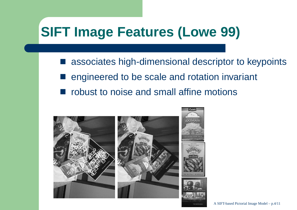## **SIFT Image Features (Lowe 99)**

T associates high-dimensional descriptor to keypoints engineered to be scale and rotation invariant robust to noise and small affine motions

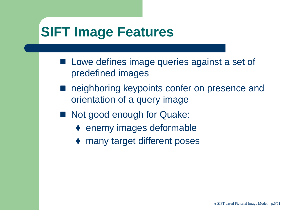## **SIFT Image Features**

- **Lowe defines image queries against a set of** predefined images
- $\mathbb{R}^n$  neighboring keypoints confer on presence andorientation of <sup>a</sup> query image
- Not good enough for Quake:
	- ◆ enemy images deformable
	- ♦ many target different poses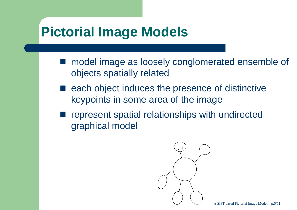### **Pictorial Image Models**

- model image as loosely conglomerated ensemble of objects spatially related
- each object induces the presence of distinctive keypoints in some area of the image
- represent spatial relationships with undirectedgraphical model

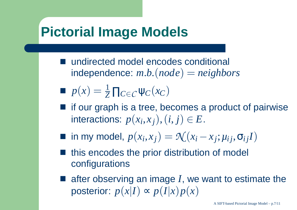#### **Pictorial Image Models**

- T undirected model encodes conditional independence:*<sup>m</sup>*.*b*.(*node*) <sup>=</sup> *neighbors*
- $p(x) = \frac{1}{7}$  $\frac{1}{Z}\prod_{C\in\mathcal{C}}\psi_C(x_C)$
- $\blacksquare$  if our graph is a tree, becomes a product of pairwise interactions:  $p(x_i, x_j), (i, j) \in E$ .
- in my model,  $p(x_i, x_j) = \mathcal{N}(x_i x_j; \mu_{ij}, \sigma_{ij}I)$
- this encodes the prior distribution of model configurations
- after observing an image *I*, we want to estimate the posterior:  $p(x|I) \thicksim p(I|I)$ ∝*p*(*<sup>I</sup>*|*x*)*p*(*x*)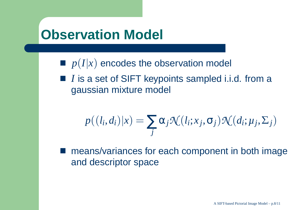#### **Observation Model**

- $p(I|x)$  encodes the observation model
- *I* is a set of SIFT keypoints sampled i.i.d. from a gaussian mixture model

$$
p((l_i,d_i)|x) = \sum_j \alpha_j \mathcal{N}(l_i;x_j,\sigma_j) \mathcal{N}(d_i;\mu_j,\Sigma_j)
$$

**n** means/variances for each component in both image and descriptor space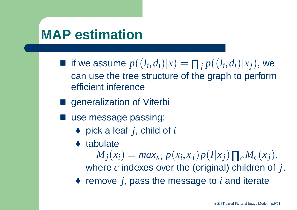### **MAP estimation**

■ if we assume  $p((l_i, d_i)|x) = \prod_j p((l_i, d_i)|x_j)$ , we  $\mathbf{r}$  and  $\mathbf{r}$  can use the tree structure of the graph to performefficient inference

generalization of Viterbi

■ use message passing:

◆ pick a leaf *j*, child of *i* 

♦ tabulate

 $M_j(x_i) =$  $= max_x$  $p(x_i, x_j)p(I|x_j)\prod_{c}M_c(x_j),$  where*c* indexes over the (original) children of *j*.◆ remove *j*, pass the message to *i* and iterate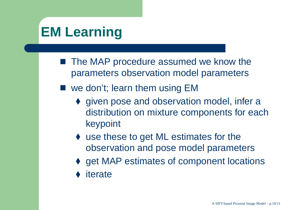# **EM Learning**

- The MAP procedure assumed we know the parameters observation model parameters
- we don't; learn them using EM
	- ◆ given pose and observation model, infer a distribution on mixture components for eachkeypoint
	- ◆ use these to get ML estimates for the observation and pose model parameters
	- get MAP estimates of component locations
	- ◆ iterate